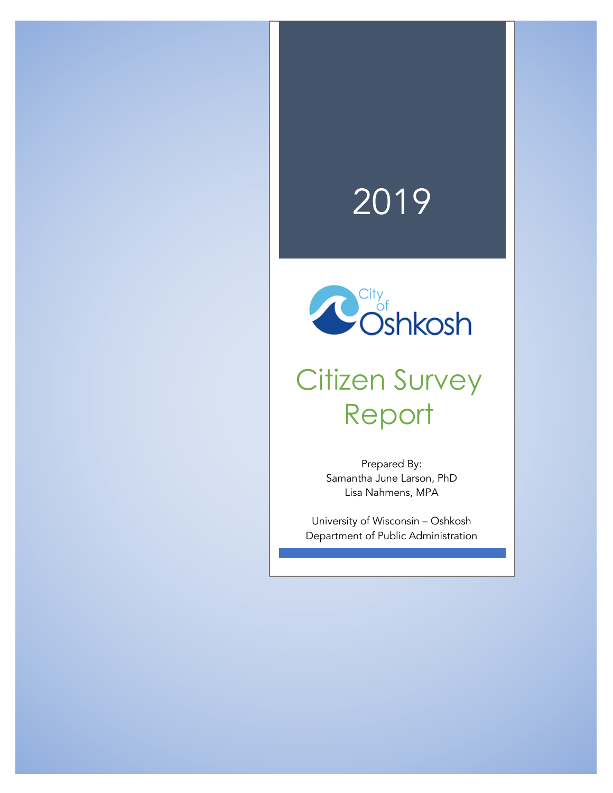# 2019



# Citizen Survey Report

Prepared By: Samantha June Larson, PhD Lisa Nahmens, MPA

University of Wisconsin – Oshkosh Department of Public Administration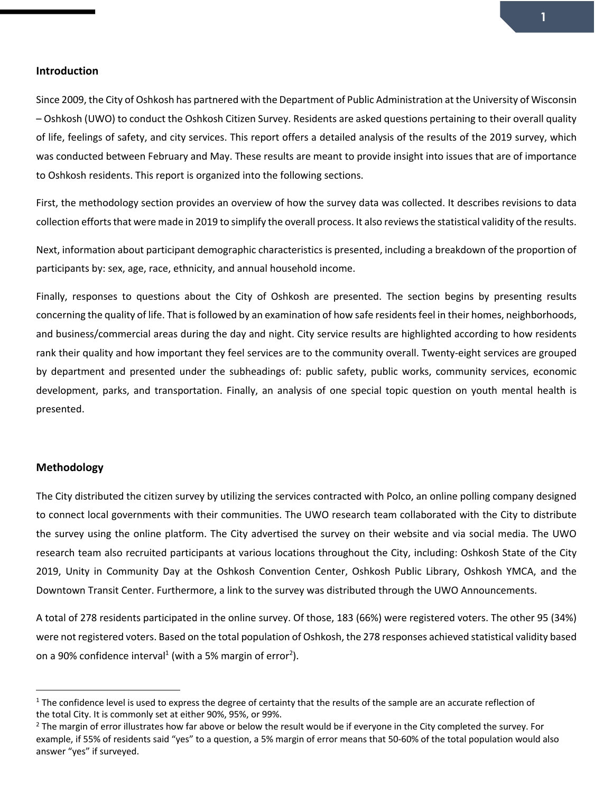#### **Introduction**

Since 2009, the City of Oshkosh has partnered with the Department of Public Administration at the University of Wisconsin – Oshkosh (UWO) to conduct the Oshkosh Citizen Survey. Residents are asked questions pertaining to their overall quality of life, feelings of safety, and city services. This report offers a detailed analysis of the results of the 2019 survey, which was conducted between February and May. These results are meant to provide insight into issues that are of importance to Oshkosh residents. This report is organized into the following sections.

First, the methodology section provides an overview of how the survey data was collected. It describes revisions to data collection efforts that were made in 2019 to simplify the overall process. It also reviews the statistical validity of the results.

Next, information about participant demographic characteristics is presented, including a breakdown of the proportion of participants by: sex, age, race, ethnicity, and annual household income.

Finally, responses to questions about the City of Oshkosh are presented. The section begins by presenting results concerning the quality of life. That is followed by an examination of how safe residents feel in their homes, neighborhoods, and business/commercial areas during the day and night. City service results are highlighted according to how residents rank their quality and how important they feel services are to the community overall. Twenty-eight services are grouped by department and presented under the subheadings of: public safety, public works, community services, economic development, parks, and transportation. Finally, an analysis of one special topic question on youth mental health is presented.

#### **Methodology**

 $\overline{a}$ 

The City distributed the citizen survey by utilizing the services contracted with Polco, an online polling company designed to connect local governments with their communities. The UWO research team collaborated with the City to distribute the survey using the online platform. The City advertised the survey on their website and via social media. The UWO research team also recruited participants at various locations throughout the City, including: Oshkosh State of the City 2019, Unity in Community Day at the Oshkosh Convention Center, Oshkosh Public Library, Oshkosh YMCA, and the Downtown Transit Center. Furthermore, a link to the survey was distributed through the UWO Announcements.

A total of 278 residents participated in the online survey. Of those, 183 (66%) were registered voters. The other 95 (34%) were not registered voters. Based on the total population of Oshkosh, the 278 responses achieved statistical validity based on a 90% confidence interval<sup>1</sup> (with a 5% margin of error<sup>2</sup>).

 $1$  The confidence level is used to express the degree of certainty that the results of the sample are an accurate reflection of the total City. It is commonly set at either 90%, 95%, or 99%.

 $2$  The margin of error illustrates how far above or below the result would be if everyone in the City completed the survey. For example, if 55% of residents said "yes" to a question, a 5% margin of error means that 50-60% of the total population would also answer "yes" if surveyed.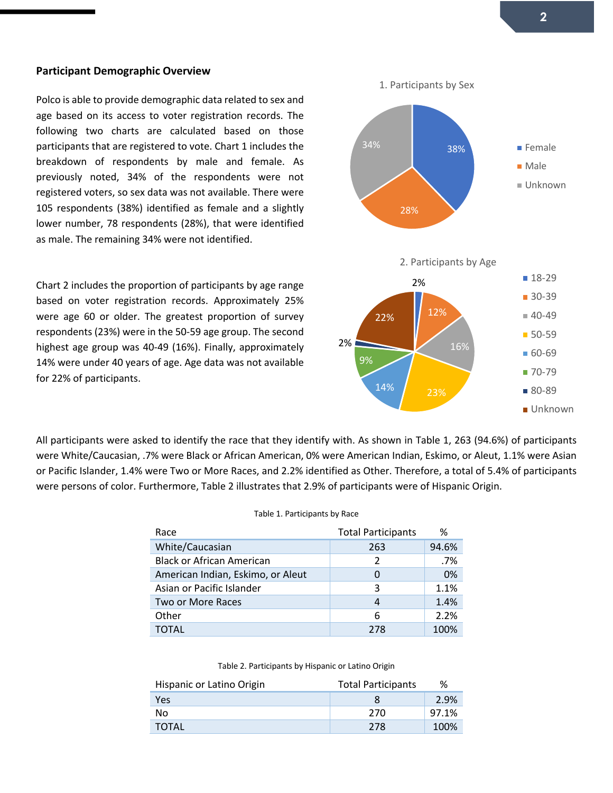#### **Participant Demographic Overview**

Polco is able to provide demographic data related to sex and age based on its access to voter registration records. The following two charts are calculated based on those participants that are registered to vote. Chart 1 includes the breakdown of respondents by male and female. As previously noted, 34% of the respondents were not registered voters, so sex data was not available. There were 105 respondents (38%) identified as female and a slightly lower number, 78 respondents (28%), that were identified as male. The remaining 34% were not identified.

Chart 2 includes the proportion of participants by age range based on voter registration records. Approximately 25% were age 60 or older. The greatest proportion of survey respondents (23%) were in the 50-59 age group. The second highest age group was 40-49 (16%). Finally, approximately 14% were under 40 years of age. Age data was not available for 22% of participants.



All participants were asked to identify the race that they identify with. As shown in Table 1, 263 (94.6%) of participants were White/Caucasian, .7% were Black or African American, 0% were American Indian, Eskimo, or Aleut, 1.1% were Asian or Pacific Islander, 1.4% were Two or More Races, and 2.2% identified as Other. Therefore, a total of 5.4% of participants were persons of color. Furthermore, Table 2 illustrates that 2.9% of participants were of Hispanic Origin.

#### Table 1. Participants by Race

| Race                              | <b>Total Participants</b> | %     |
|-----------------------------------|---------------------------|-------|
| White/Caucasian                   | 263                       | 94.6% |
| <b>Black or African American</b>  | $\mathcal{P}$             | .7%   |
| American Indian, Eskimo, or Aleut | 0                         | 0%    |
| Asian or Pacific Islander         | 3                         | 1.1%  |
| Two or More Races                 | 4                         | 1.4%  |
| Other                             | 6                         | 2.2%  |
| TOTAL                             | 278                       | 100%  |

#### Table 2. Participants by Hispanic or Latino Origin

| Hispanic or Latino Origin | <b>Total Participants</b> | %     |
|---------------------------|---------------------------|-------|
| <b>Yes</b>                | x                         | 2.9%  |
| No                        | 270                       | 97.1% |
| <b>TOTAL</b>              | 278                       | 100%  |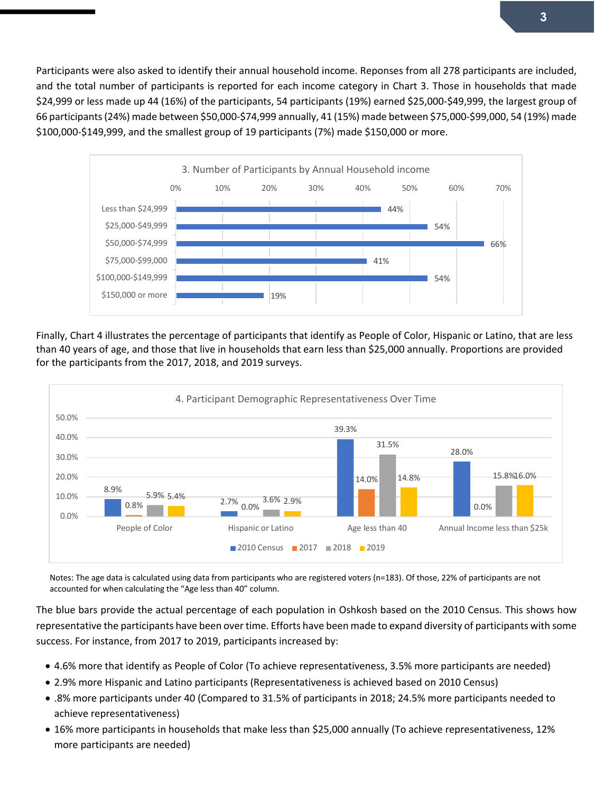Participants were also asked to identify their annual household income. Reponses from all 278 participants are included, and the total number of participants is reported for each income category in Chart 3. Those in households that made \$24,999 or less made up 44 (16%) of the participants, 54 participants (19%) earned \$25,000-\$49,999, the largest group of 66 participants (24%) made between \$50,000-\$74,999 annually, 41 (15%) made between \$75,000-\$99,000, 54 (19%) made \$100,000-\$149,999, and the smallest group of 19 participants (7%) made \$150,000 or more.



Finally, Chart 4 illustrates the percentage of participants that identify as People of Color, Hispanic or Latino, that are less than 40 years of age, and those that live in households that earn less than \$25,000 annually. Proportions are provided for the participants from the 2017, 2018, and 2019 surveys.



Notes: The age data is calculated using data from participants who are registered voters (n=183). Of those, 22% of participants are not accounted for when calculating the "Age less than 40" column.

The blue bars provide the actual percentage of each population in Oshkosh based on the 2010 Census. This shows how representative the participants have been over time. Efforts have been made to expand diversity of participants with some success. For instance, from 2017 to 2019, participants increased by:

- 4.6% more that identify as People of Color (To achieve representativeness, 3.5% more participants are needed)
- 2.9% more Hispanic and Latino participants (Representativeness is achieved based on 2010 Census)
- .8% more participants under 40 (Compared to 31.5% of participants in 2018; 24.5% more participants needed to achieve representativeness)
- 16% more participants in households that make less than \$25,000 annually (To achieve representativeness, 12% more participants are needed)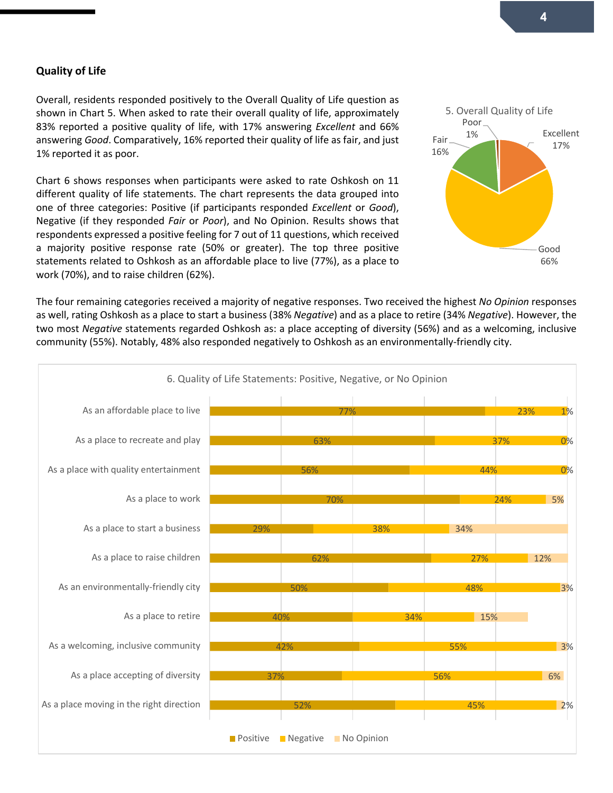#### **Quality of Life**

Overall, residents responded positively to the Overall Quality of Life question as shown in Chart 5. When asked to rate their overall quality of life, approximately 83% reported a positive quality of life, with 17% answering *Excellent* and 66% answering *Good*. Comparatively, 16% reported their quality of life as fair, and just 1% reported it as poor.

Chart 6 shows responses when participants were asked to rate Oshkosh on 11 different quality of life statements. The chart represents the data grouped into one of three categories: Positive (if participants responded *Excellent* or *Good*), Negative (if they responded *Fair* or *Poor*), and No Opinion. Results shows that respondents expressed a positive feeling for 7 out of 11 questions, which received a majority positive response rate (50% or greater). The top three positive statements related to Oshkosh as an affordable place to live (77%), as a place to work (70%), and to raise children (62%).



The four remaining categories received a majority of negative responses. Two received the highest *No Opinion* responses as well, rating Oshkosh as a place to start a business (38% *Negative*) and as a place to retire (34% *Negative*). However, the two most *Negative* statements regarded Oshkosh as: a place accepting of diversity (56%) and as a welcoming, inclusive community (55%). Notably, 48% also responded negatively to Oshkosh as an environmentally-friendly city.

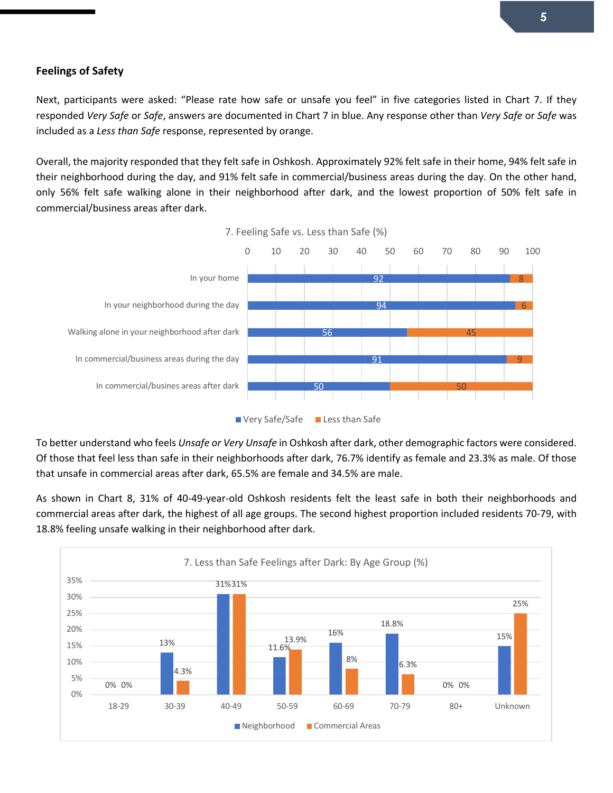#### **Feelings of Safety**

Next, participants were asked: "Please rate how safe or unsafe you feel" in five categories listed in Chart 7. If they responded *Very Safe* or *Safe*, answers are documented in Chart 7 in blue. Any response other than *Very Safe* or *Safe* was included as a *Less than Safe* response, represented by orange.

Overall, the majority responded that they felt safe in Oshkosh. Approximately 92% felt safe in their home, 94% felt safe in their neighborhood during the day, and 91% felt safe in commercial/business areas during the day. On the other hand, only 56% felt safe walking alone in their neighborhood after dark, and the lowest proportion of 50% felt safe in commercial/business areas after dark.



To better understand who feels *Unsafe or Very Unsafe* in Oshkosh after dark, other demographic factors were considered. Of those that feel less than safe in their neighborhoods after dark, 76.7% identify as female and 23.3% as male. Of those that unsafe in commercial areas after dark, 65.5% are female and 34.5% are male.

As shown in Chart 8, 31% of 40-49-year-old Oshkosh residents felt the least safe in both their neighborhoods and commercial areas after dark, the highest of all age groups. The second highest proportion included residents 70-79, with 18.8% feeling unsafe walking in their neighborhood after dark.

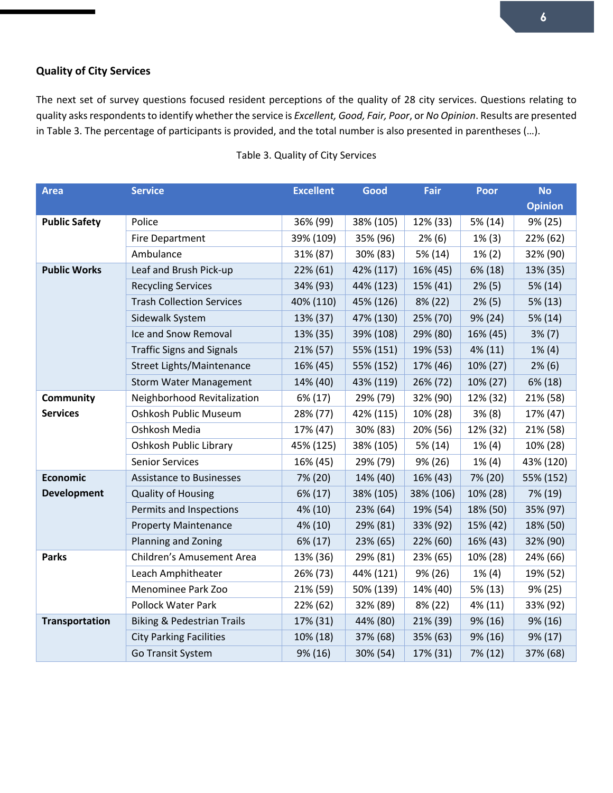# **Quality of City Services**

The next set of survey questions focused resident perceptions of the quality of 28 city services. Questions relating to quality asks respondents to identify whether the service is *Excellent, Good, Fair, Poor*, or *No Opinion*. Results are presented in Table 3. The percentage of participants is provided, and the total number is also presented in parentheses (…).

| <b>Area</b>           | <b>Service</b>                        | <b>Excellent</b> | Good      | Fair      | <b>Poor</b> | <b>No</b>      |
|-----------------------|---------------------------------------|------------------|-----------|-----------|-------------|----------------|
|                       |                                       |                  |           |           |             | <b>Opinion</b> |
| <b>Public Safety</b>  | Police                                | 36% (99)         | 38% (105) | 12% (33)  | 5% (14)     | 9% (25)        |
|                       | <b>Fire Department</b>                | 39% (109)        | 35% (96)  | $2\%$ (6) | $1\%$ (3)   | 22% (62)       |
|                       | Ambulance                             | 31% (87)         | 30% (83)  | 5% (14)   | $1\% (2)$   | 32% (90)       |
| <b>Public Works</b>   | Leaf and Brush Pick-up                | 22% (61)         | 42% (117) | 16% (45)  | 6% (18)     | 13% (35)       |
|                       | <b>Recycling Services</b>             | 34% (93)         | 44% (123) | 15% (41)  | $2\%$ (5)   | 5% (14)        |
|                       | <b>Trash Collection Services</b>      | 40% (110)        | 45% (126) | 8% (22)   | $2\%$ (5)   | 5% (13)        |
|                       | Sidewalk System                       | 13% (37)         | 47% (130) | 25% (70)  | 9% (24)     | 5% (14)        |
|                       | Ice and Snow Removal                  | 13% (35)         | 39% (108) | 29% (80)  | 16% (45)    | $3\% (7)$      |
|                       | <b>Traffic Signs and Signals</b>      | 21% (57)         | 55% (151) | 19% (53)  | 4% (11)     | $1\% (4)$      |
|                       | Street Lights/Maintenance             | 16% (45)         | 55% (152) | 17% (46)  | 10% (27)    | $2\%$ (6)      |
|                       | <b>Storm Water Management</b>         | 14% (40)         | 43% (119) | 26% (72)  | 10% (27)    | 6% (18)        |
| Community             | Neighborhood Revitalization           | 6% (17)          | 29% (79)  | 32% (90)  | 12% (32)    | 21% (58)       |
| <b>Services</b>       | Oshkosh Public Museum                 | 28% (77)         | 42% (115) | 10% (28)  | 3% (8)      | 17% (47)       |
|                       | Oshkosh Media                         | 17% (47)         | 30% (83)  | 20% (56)  | 12% (32)    | 21% (58)       |
|                       | Oshkosh Public Library                | 45% (125)        | 38% (105) | 5% (14)   | $1\%$ (4)   | 10% (28)       |
|                       | <b>Senior Services</b>                | 16% (45)         | 29% (79)  | 9% (26)   | $1\% (4)$   | 43% (120)      |
| <b>Economic</b>       | <b>Assistance to Businesses</b>       | 7% (20)          | 14% (40)  | 16% (43)  | 7% (20)     | 55% (152)      |
| <b>Development</b>    | <b>Quality of Housing</b>             | 6% (17)          | 38% (105) | 38% (106) | 10% (28)    | 7% (19)        |
|                       | Permits and Inspections               | 4% (10)          | 23% (64)  | 19% (54)  | 18% (50)    | 35% (97)       |
|                       | <b>Property Maintenance</b>           | 4% (10)          | 29% (81)  | 33% (92)  | 15% (42)    | 18% (50)       |
|                       | Planning and Zoning                   | 6% (17)          | 23% (65)  | 22% (60)  | 16% (43)    | 32% (90)       |
| <b>Parks</b>          | Children's Amusement Area             | 13% (36)         | 29% (81)  | 23% (65)  | 10% (28)    | 24% (66)       |
|                       | Leach Amphitheater                    | 26% (73)         | 44% (121) | 9% (26)   | $1\%$ (4)   | 19% (52)       |
|                       | Menominee Park Zoo                    | 21% (59)         | 50% (139) | 14% (40)  | 5% (13)     | 9% (25)        |
|                       | <b>Pollock Water Park</b>             | 22% (62)         | 32% (89)  | 8% (22)   | 4% (11)     | 33% (92)       |
| <b>Transportation</b> | <b>Biking &amp; Pedestrian Trails</b> | 17% (31)         | 44% (80)  | 21% (39)  | 9% (16)     | 9% (16)        |
|                       | <b>City Parking Facilities</b>        | 10% (18)         | 37% (68)  | 35% (63)  | 9% (16)     | 9% (17)        |
|                       | Go Transit System                     | 9% (16)          | 30% (54)  | 17% (31)  | 7% (12)     | 37% (68)       |

#### Table 3. Quality of City Services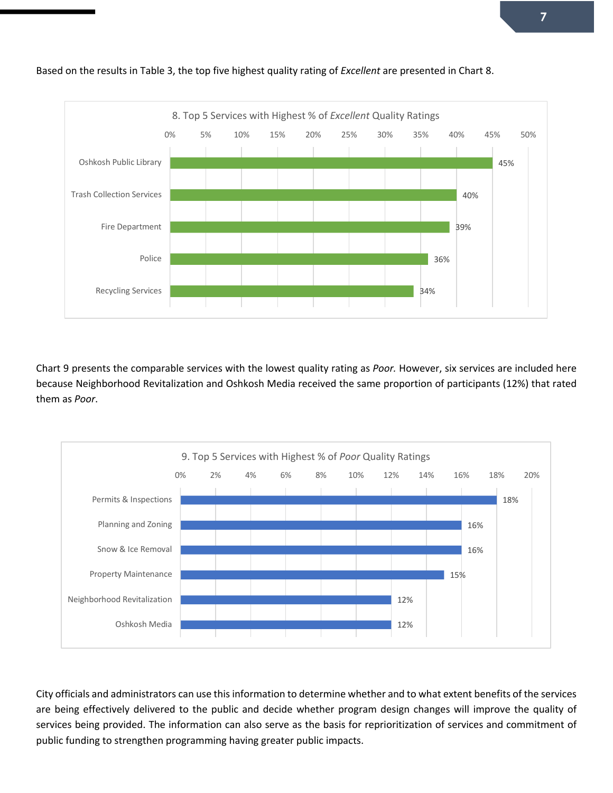

Based on the results in Table 3, the top five highest quality rating of *Excellent* are presented in Chart 8.

Chart 9 presents the comparable services with the lowest quality rating as *Poor.* However, six services are included here because Neighborhood Revitalization and Oshkosh Media received the same proportion of participants (12%) that rated them as *Poor*.



City officials and administrators can use this information to determine whether and to what extent benefits of the services are being effectively delivered to the public and decide whether program design changes will improve the quality of services being provided. The information can also serve as the basis for reprioritization of services and commitment of public funding to strengthen programming having greater public impacts.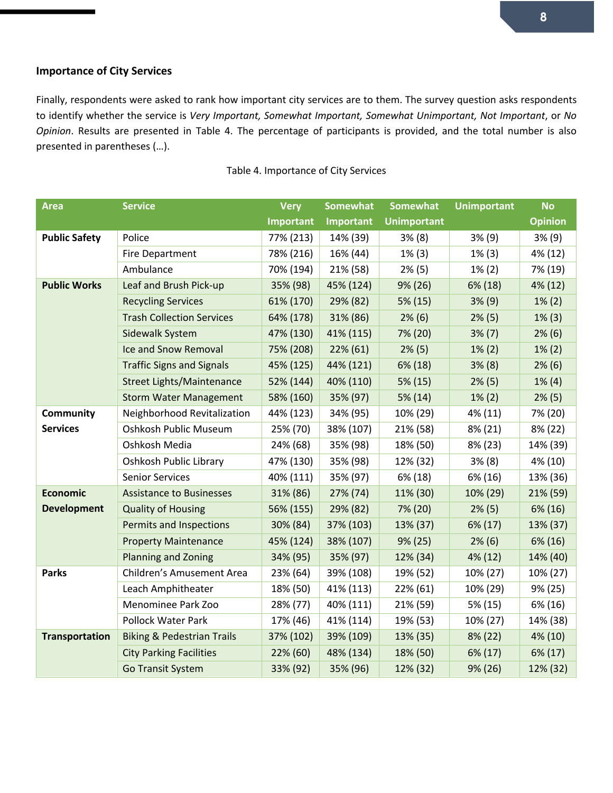# **Importance of City Services**

Finally, respondents were asked to rank how important city services are to them. The survey question asks respondents to identify whether the service is *Very Important, Somewhat Important, Somewhat Unimportant, Not Important*, or *No Opinion*. Results are presented in Table 4. The percentage of participants is provided, and the total number is also presented in parentheses (…).

| <b>Area</b>           | <b>Service</b>                        | <b>Very</b> | <b>Somewhat</b>  | <b>Somewhat</b>    | <b>Unimportant</b> | <b>No</b>      |
|-----------------------|---------------------------------------|-------------|------------------|--------------------|--------------------|----------------|
|                       |                                       | Important   | <b>Important</b> | <b>Unimportant</b> |                    | <b>Opinion</b> |
| <b>Public Safety</b>  | Police                                | 77% (213)   | 14% (39)         | 3% (8)             | 3% (9)             | 3% (9)         |
|                       | <b>Fire Department</b>                | 78% (216)   | 16% (44)         | $1\%$ (3)          | $1\%$ (3)          | 4% (12)        |
|                       | Ambulance                             | 70% (194)   | 21% (58)         | $2\%$ (5)          | $1\% (2)$          | 7% (19)        |
| <b>Public Works</b>   | Leaf and Brush Pick-up                | 35% (98)    | 45% (124)        | 9% (26)            | 6% (18)            | 4% (12)        |
|                       | <b>Recycling Services</b>             | 61% (170)   | 29% (82)         | 5% (15)            | $3\%$ (9)          | $1\% (2)$      |
|                       | <b>Trash Collection Services</b>      | 64% (178)   | 31% (86)         | 2% (6)             | $2\%$ (5)          | $1\%$ (3)      |
|                       | Sidewalk System                       | 47% (130)   | 41% (115)        | 7% (20)            | $3\%$ (7)          | $2\%$ (6)      |
|                       | Ice and Snow Removal                  | 75% (208)   | 22% (61)         | $2\%$ (5)          | $1\% (2)$          | $1\% (2)$      |
|                       | <b>Traffic Signs and Signals</b>      | 45% (125)   | 44% (121)        | 6% (18)            | 3% (8)             | $2\%$ (6)      |
|                       | <b>Street Lights/Maintenance</b>      | 52% (144)   | 40% (110)        | 5% (15)            | $2\%$ (5)          | $1\%$ (4)      |
|                       | <b>Storm Water Management</b>         | 58% (160)   | 35% (97)         | 5% (14)            | $1\% (2)$          | $2\%$ (5)      |
| <b>Community</b>      | Neighborhood Revitalization           | 44% (123)   | 34% (95)         | 10% (29)           | 4% (11)            | 7% (20)        |
| <b>Services</b>       | Oshkosh Public Museum                 | 25% (70)    | 38% (107)        | 21% (58)           | 8% (21)            | 8% (22)        |
|                       | Oshkosh Media                         | 24% (68)    | 35% (98)         | 18% (50)           | 8% (23)            | 14% (39)       |
|                       | Oshkosh Public Library                | 47% (130)   | 35% (98)         | 12% (32)           | $3\% (8)$          | 4% (10)        |
|                       | <b>Senior Services</b>                | 40% (111)   | 35% (97)         | 6% (18)            | 6% (16)            | 13% (36)       |
| <b>Economic</b>       | <b>Assistance to Businesses</b>       | 31% (86)    | 27% (74)         | 11% (30)           | 10% (29)           | 21% (59)       |
| <b>Development</b>    | <b>Quality of Housing</b>             | 56% (155)   | 29% (82)         | 7% (20)            | $2\%$ (5)          | 6% (16)        |
|                       | Permits and Inspections               | 30% (84)    | 37% (103)        | 13% (37)           | 6% (17)            | 13% (37)       |
|                       | <b>Property Maintenance</b>           | 45% (124)   | 38% (107)        | 9% (25)            | $2\%$ (6)          | 6% (16)        |
|                       | <b>Planning and Zoning</b>            | 34% (95)    | 35% (97)         | 12% (34)           | 4% (12)            | 14% (40)       |
| <b>Parks</b>          | Children's Amusement Area             | 23% (64)    | 39% (108)        | 19% (52)           | 10% (27)           | 10% (27)       |
|                       | Leach Amphitheater                    | 18% (50)    | 41% (113)        | 22% (61)           | 10% (29)           | 9% (25)        |
|                       | Menominee Park Zoo                    | 28% (77)    | 40% (111)        | 21% (59)           | 5% (15)            | 6% (16)        |
|                       | Pollock Water Park                    | 17% (46)    | 41% (114)        | 19% (53)           | 10% (27)           | 14% (38)       |
| <b>Transportation</b> | <b>Biking &amp; Pedestrian Trails</b> | 37% (102)   | 39% (109)        | 13% (35)           | 8% (22)            | 4% (10)        |
|                       | <b>City Parking Facilities</b>        | 22% (60)    | 48% (134)        | 18% (50)           | 6% (17)            | 6% (17)        |
|                       | <b>Go Transit System</b>              | 33% (92)    | 35% (96)         | 12% (32)           | 9% (26)            | 12% (32)       |

#### Table 4. Importance of City Services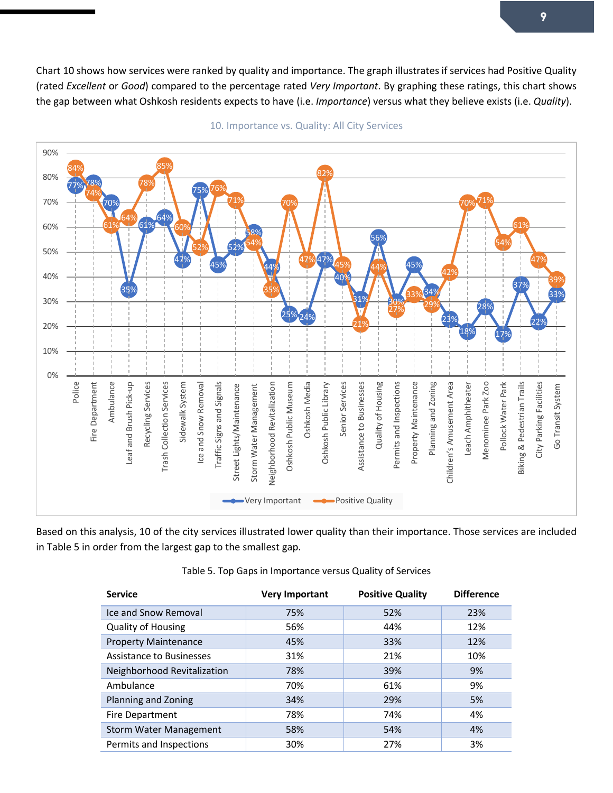Chart 10 shows how services were ranked by quality and importance. The graph illustrates if services had Positive Quality (rated *Excellent* or *Good*) compared to the percentage rated *Very Important*. By graphing these ratings, this chart shows the gap between what Oshkosh residents expects to have (i.e. *Importance*) versus what they believe exists (i.e. *Quality*).



10. Importance vs. Quality: All City Services

Based on this analysis, 10 of the city services illustrated lower quality than their importance. Those services are included in Table 5 in order from the largest gap to the smallest gap.

| <b>Service</b>                | <b>Very Important</b> | <b>Positive Quality</b> | <b>Difference</b> |
|-------------------------------|-----------------------|-------------------------|-------------------|
| Ice and Snow Removal          | 75%                   | 52%                     | 23%               |
| <b>Quality of Housing</b>     | 56%                   | 44%                     | 12%               |
| <b>Property Maintenance</b>   | 45%                   | 33%                     | 12%               |
| Assistance to Businesses      | 31%                   | 21%                     | 10%               |
| Neighborhood Revitalization   | 78%                   | 39%                     | 9%                |
| Ambulance                     | 70%                   | 61%                     | 9%                |
| Planning and Zoning           | 34%                   | 29%                     | 5%                |
| Fire Department               | 78%                   | 74%                     | 4%                |
| <b>Storm Water Management</b> | 58%                   | 54%                     | 4%                |
| Permits and Inspections       | 30%                   | 27%                     | 3%                |

Table 5. Top Gaps in Importance versus Quality of Services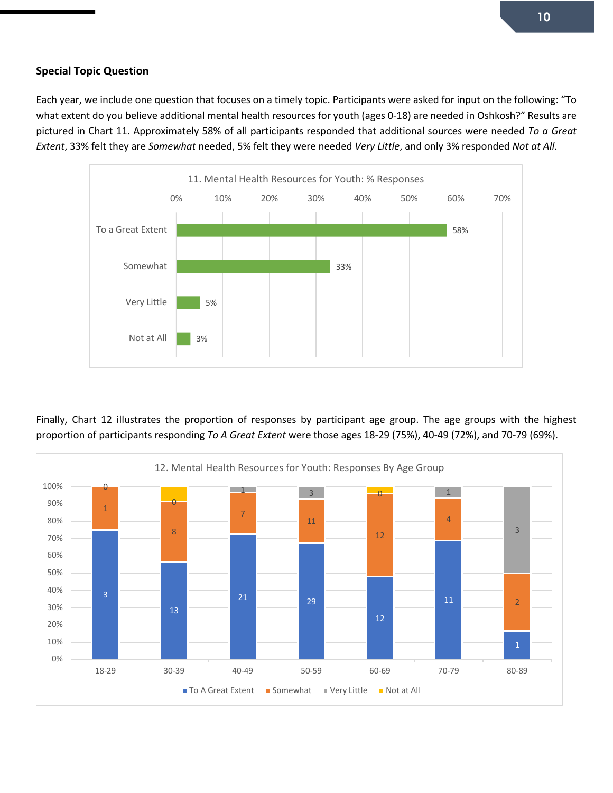# **Special Topic Question**

Each year, we include one question that focuses on a timely topic. Participants were asked for input on the following: "To what extent do you believe additional mental health resources for youth (ages 0-18) are needed in Oshkosh?" Results are pictured in Chart 11. Approximately 58% of all participants responded that additional sources were needed *To a Great Extent*, 33% felt they are *Somewhat* needed, 5% felt they were needed *Very Little*, and only 3% responded *Not at All*.



Finally, Chart 12 illustrates the proportion of responses by participant age group. The age groups with the highest proportion of participants responding *To A Great Extent* were those ages 18-29 (75%), 40-49 (72%), and 70-79 (69%).